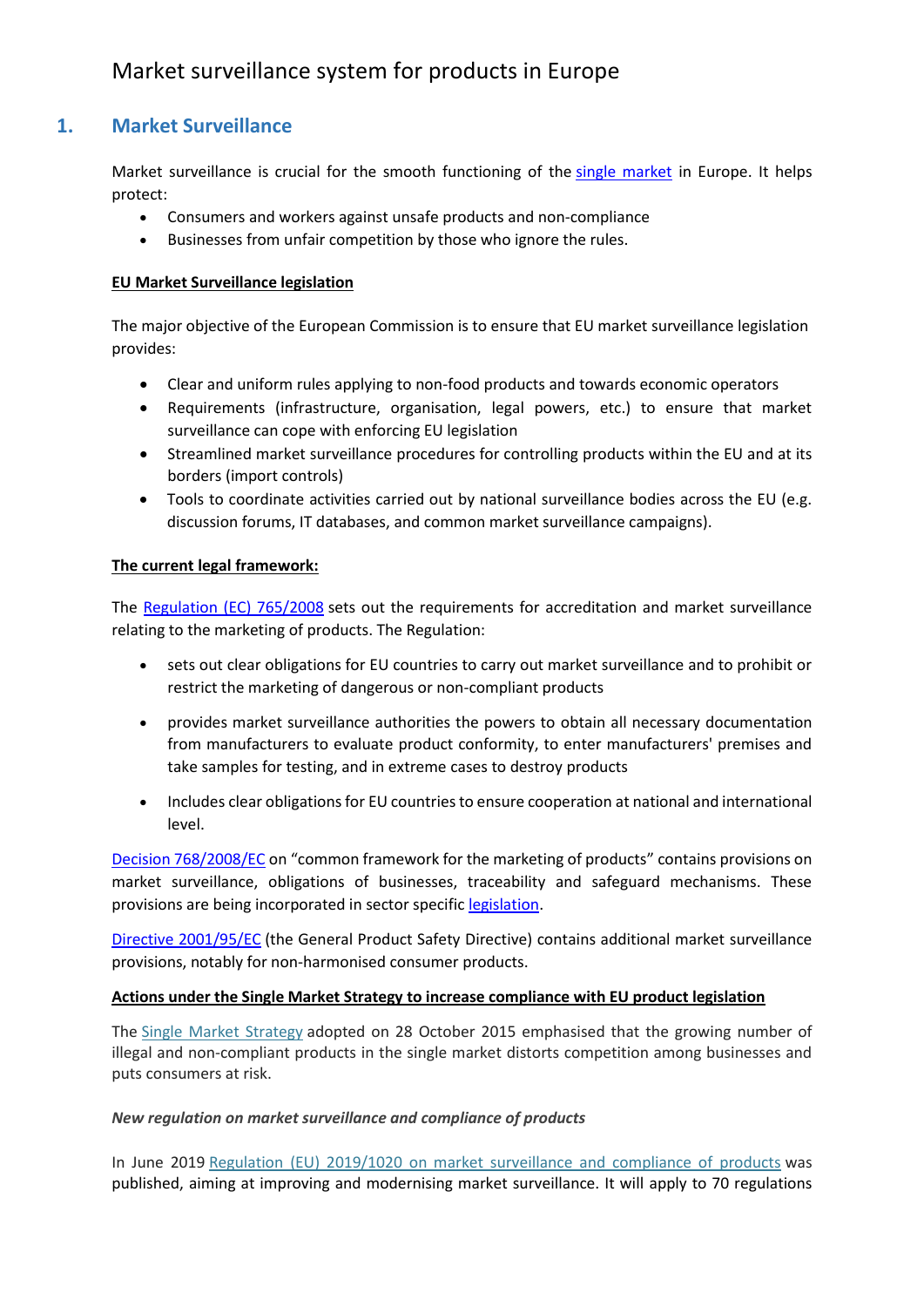## **1. Market Surveillance**

Market surveillance is crucial for the smooth functioning of the [single market](https://ec.europa.eu/growth/single-market_en) in Europe. It helps protect:

- Consumers and workers against unsafe products and non-compliance
- Businesses from unfair competition by those who ignore the rules.

#### **EU Market Surveillance legislation**

The major objective of the European Commission is to ensure that EU market surveillance legislation provides:

- Clear and uniform rules applying to non-food products and towards economic operators
- Requirements (infrastructure, organisation, legal powers, etc.) to ensure that market surveillance can cope with enforcing EU legislation
- Streamlined market surveillance procedures for controlling products within the EU and at its borders (import controls)
- Tools to coordinate activities carried out by national surveillance bodies across the EU (e.g. discussion forums, IT databases, and common market surveillance campaigns).

#### **The current legal framework:**

The [Regulation \(EC\) 765/2008](http://eur-lex.europa.eu/legal-content/EN/TXT/?uri=CELEX:32008R0765&locale=en) sets out the requirements for accreditation and market surveillance relating to the marketing of products. The Regulation:

- sets out clear obligations for EU countries to carry out market surveillance and to prohibit or restrict the marketing of dangerous or non-compliant products
- provides market surveillance authorities the powers to obtain all necessary documentation from manufacturers to evaluate product conformity, to enter manufacturers' premises and take samples for testing, and in extreme cases to destroy products
- Includes clear obligations for EU countries to ensure cooperation at national and international level.

[Decision 768/2008/EC](http://eur-lex.europa.eu/legal-content/EN/TXT/?uri=CELEX:32008D0768&locale=en) on "common framework for the marketing of products" contains provisions on market surveillance, obligations of businesses, traceability and safeguard mechanisms. These provisions are being incorporated in sector specific [legislation.](https://ec.europa.eu/growth/single-market/goods/new-legislative-framework_en)

[Directive 2001/95/EC](http://eur-lex.europa.eu/legal-content/EN/TXT/?uri=CELEX:32001L0095&locale=en) (the General Product Safety Directive) contains additional market surveillance provisions, notably for non-harmonised consumer products.

#### **Actions under the Single Market Strategy to increase compliance with EU product legislation**

The [Single Market Strategy](https://ec.europa.eu/growth/single-market/strategy_en) adopted on 28 October 2015 emphasised that the growing number of illegal and non-compliant products in the single market distorts competition among businesses and puts consumers at risk.

#### *New regulation on market surveillance and compliance of products*

In June 2019 [Regulation \(EU\) 2019/1020 on market surveillance and compliance of products](https://eur-lex.europa.eu/legal-content/EN/TXT/?qid=1561458991128&uri=CELEX:32019R1020) was published, aiming at improving and modernising market surveillance. It will apply to 70 regulations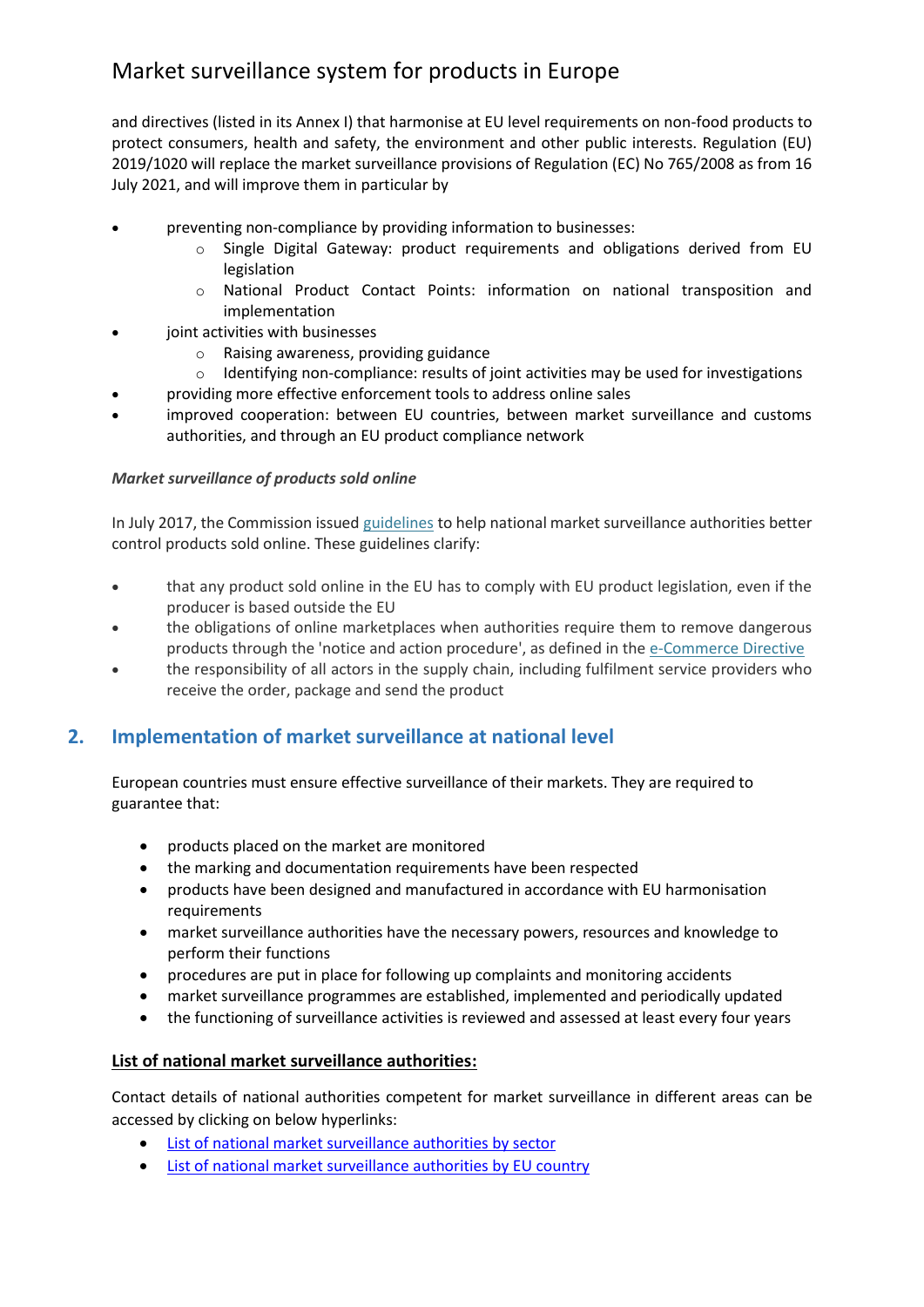and directives (listed in its Annex I) that harmonise at EU level requirements on non-food products to protect consumers, health and safety, the environment and other public interests. Regulation (EU) 2019/1020 will replace the market surveillance provisions of Regulation (EC) No 765/2008 as from 16 July 2021, and will improve them in particular by

- preventing non-compliance by providing information to businesses:
	- o Single Digital Gateway: product requirements and obligations derived from EU legislation
	- o National Product Contact Points: information on national transposition and implementation
- joint activities with businesses
	- o Raising awareness, providing guidance
	- $\circ$  Identifying non-compliance: results of joint activities may be used for investigations
	- providing more effective enforcement tools to address online sales
- improved cooperation: between EU countries, between market surveillance and customs authorities, and through an EU product compliance network

#### *Market surveillance of products sold online*

In July 2017, the Commission issued [guidelines](http://eur-lex.europa.eu/legal-content/EN/TXT/?qid=1503381110390&uri=CELEX%3A52017XC0801%2801%29) to help national market surveillance authorities better control products sold online. These guidelines clarify:

- that any product sold online in the EU has to comply with EU product legislation, even if the producer is based outside the EU
- the obligations of online marketplaces when authorities require them to remove dangerous products through the 'notice and action procedure', as defined in the [e-Commerce Directive](http://eur-lex.europa.eu/legal-content/EN/ALL/?uri=CELEX:32000L0031)
- the responsibility of all actors in the supply chain, including fulfilment service providers who receive the order, package and send the product

### **2. Implementation of market surveillance at national level**

European countries must ensure effective surveillance of their markets. They are required to guarantee that:

- products placed on the market are monitored
- the marking and documentation requirements have been respected
- products have been designed and manufactured in accordance with EU harmonisation requirements
- market surveillance authorities have the necessary powers, resources and knowledge to perform their functions
- procedures are put in place for following up complaints and monitoring accidents
- market surveillance programmes are established, implemented and periodically updated
- the functioning of surveillance activities is reviewed and assessed at least every four years

#### **List of national market surveillance authorities:**

Contact details of national authorities competent for market surveillance in different areas can be accessed by clicking on below hyperlinks:

- [List of national market surveillance authorities by sector](https://ec.europa.eu/docsroom/documents/29636)
- [List of national market surveillance authorities by EU country](https://ec.europa.eu/docsroom/documents/30766)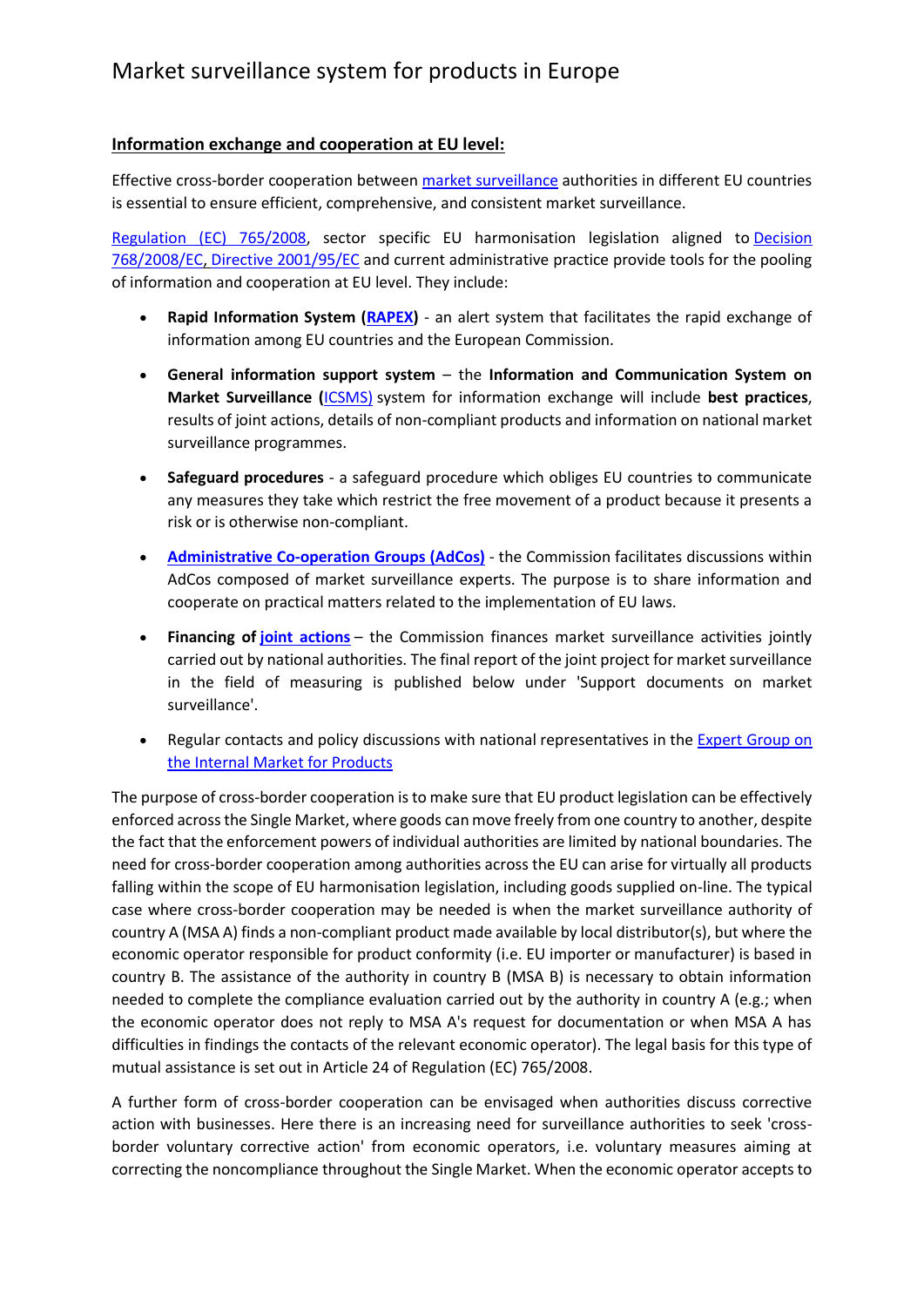### **Information exchange and cooperation at EU level:**

Effective cross-border cooperation between [market surveillance](https://ec.europa.eu/growth/single-market/goods/building-blocks/market-surveillance_en) authorities in different EU countries is essential to ensure efficient, comprehensive, and consistent market surveillance.

[Regulation \(EC\) 765/2008,](http://eur-lex.europa.eu/legal-content/EN/TXT/?uri=CELEX:32008R0765&locale=en) sector specific EU harmonisation legislation aligned to [Decision](http://eur-lex.europa.eu/legal-content/EN/TXT/?uri=CELEX:32008D0768&locale=en)  [768/2008/EC,](http://eur-lex.europa.eu/legal-content/EN/TXT/?uri=CELEX:32008D0768&locale=en) [Directive 2001/95/EC](http://eur-lex.europa.eu/legal-content/EN/TXT/?uri=CELEX:32001L0095&locale=en) and current administrative practice provide tools for the pooling of information and cooperation at EU level. They include:

- **Rapid Information System [\(RAPEX\)](https://ec.europa.eu/consumers/consumers_safety/safety_products/rapex/alerts/repository/content/pages/rapex/index_en.htm)** an alert system that facilitates the rapid exchange of information among EU countries and the European Commission.
- **General information support system** the **Information and Communication System on Market Surveillance (**[ICSMS\)](https://webgate.ec.europa.eu/icsms/) system for information exchange will include **best practices**, results of joint actions, details of non-compliant products and information on national market surveillance programmes.
- **Safeguard procedures** a safeguard procedure which obliges EU countries to communicate any measures they take which restrict the free movement of a product because it presents a risk or is otherwise non-compliant.
- **[Administrative Co-operation Groups \(AdCos\)](https://ec.europa.eu/growth/single-market/goods/building-blocks/market-surveillance/organisation/administrative-cooperation-groups_en)** the Commission facilitates discussions within AdCos composed of market surveillance experts. The purpose is to share information and cooperate on practical matters related to the implementation of EU laws.
- **Financing of [joint actions](https://ec.europa.eu/growth/contracts-grants/calls-for-proposals_en?field_section_tid=148&field_year_value_selective=All)** the Commission finances market surveillance activities jointly carried out by national authorities. The final report of the joint project for market surveillance in the field of measuring is published below under 'Support documents on market surveillance'.
- Regular contacts and policy discussions with national representatives in the [Expert Group on](http://ec.europa.eu/transparency/regexpert/index.cfm?do=groupDetail.groupDetail&groupID=2798)  [the Internal Market for Products](http://ec.europa.eu/transparency/regexpert/index.cfm?do=groupDetail.groupDetail&groupID=2798)

The purpose of cross-border cooperation is to make sure that EU product legislation can be effectively enforced across the Single Market, where goods can move freely from one country to another, despite the fact that the enforcement powers of individual authorities are limited by national boundaries. The need for cross-border cooperation among authorities across the EU can arise for virtually all products falling within the scope of EU harmonisation legislation, including goods supplied on-line. The typical case where cross-border cooperation may be needed is when the market surveillance authority of country A (MSA A) finds a non-compliant product made available by local distributor(s), but where the economic operator responsible for product conformity (i.e. EU importer or manufacturer) is based in country B. The assistance of the authority in country B (MSA B) is necessary to obtain information needed to complete the compliance evaluation carried out by the authority in country A (e.g.; when the economic operator does not reply to MSA A's request for documentation or when MSA A has difficulties in findings the contacts of the relevant economic operator). The legal basis for this type of mutual assistance is set out in Article 24 of Regulation (EC) 765/2008.

A further form of cross-border cooperation can be envisaged when authorities discuss corrective action with businesses. Here there is an increasing need for surveillance authorities to seek 'crossborder voluntary corrective action' from economic operators, i.e. voluntary measures aiming at correcting the noncompliance throughout the Single Market. When the economic operator accepts to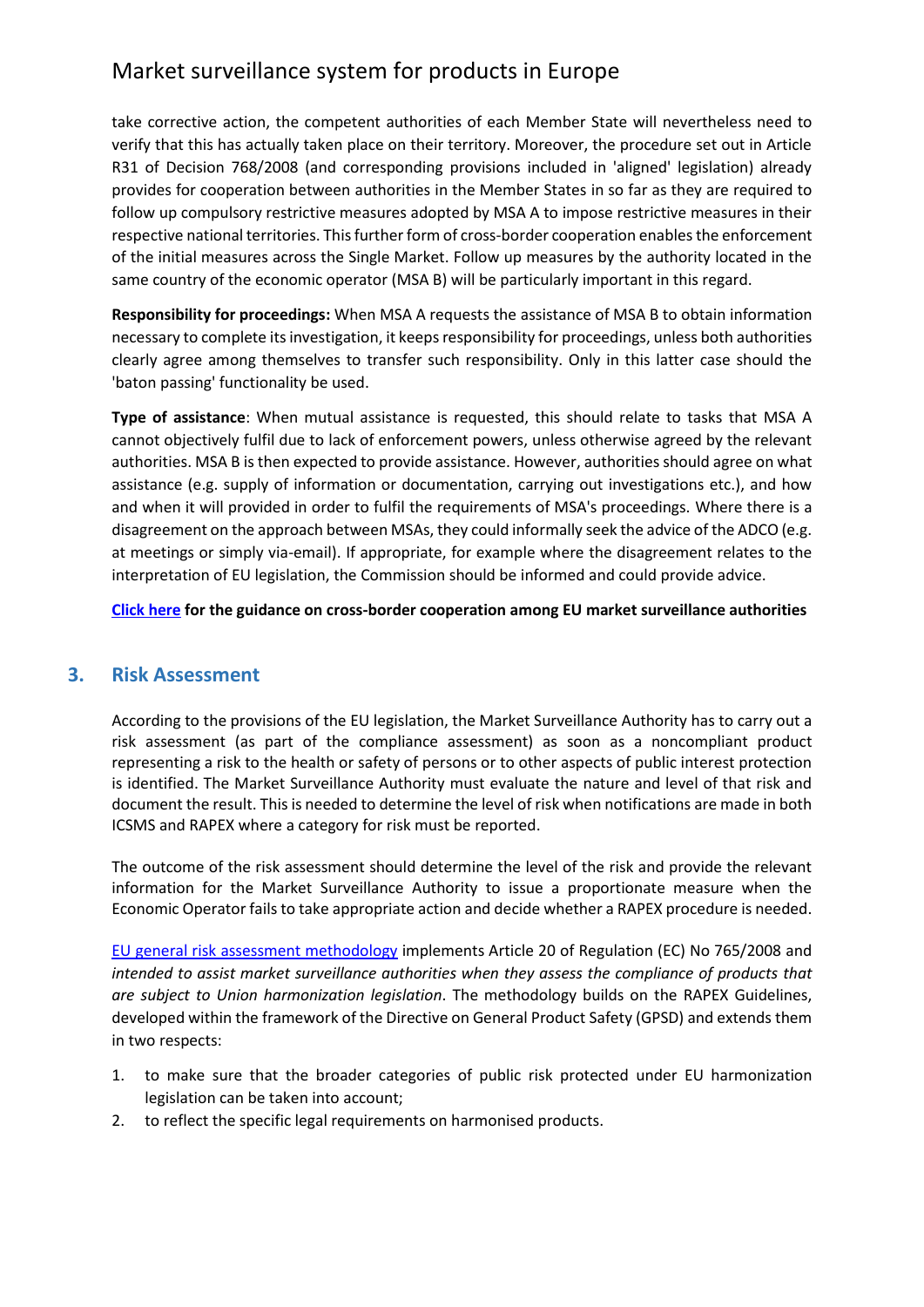take corrective action, the competent authorities of each Member State will nevertheless need to verify that this has actually taken place on their territory. Moreover, the procedure set out in Article R31 of Decision 768/2008 (and corresponding provisions included in 'aligned' legislation) already provides for cooperation between authorities in the Member States in so far as they are required to follow up compulsory restrictive measures adopted by MSA A to impose restrictive measures in their respective national territories. This further form of cross-border cooperation enables the enforcement of the initial measures across the Single Market. Follow up measures by the authority located in the same country of the economic operator (MSA B) will be particularly important in this regard.

**Responsibility for proceedings:** When MSA A requests the assistance of MSA B to obtain information necessary to complete its investigation, it keeps responsibility for proceedings, unless both authorities clearly agree among themselves to transfer such responsibility. Only in this latter case should the 'baton passing' functionality be used.

**Type of assistance**: When mutual assistance is requested, this should relate to tasks that MSA A cannot objectively fulfil due to lack of enforcement powers, unless otherwise agreed by the relevant authorities. MSA B is then expected to provide assistance. However, authorities should agree on what assistance (e.g. supply of information or documentation, carrying out investigations etc.), and how and when it will provided in order to fulfil the requirements of MSA's proceedings. Where there is a disagreement on the approach between MSAs, they could informally seek the advice of the ADCO (e.g. at meetings or simply via-email). If appropriate, for example where the disagreement relates to the interpretation of EU legislation, the Commission should be informed and could provide advice.

**[Click here](http://ec.europa.eu/DocsRoom/documents/17108/attachments/1/translations) for the guidance on cross-border cooperation among EU market surveillance authorities**

### **3. Risk Assessment**

According to the provisions of the EU legislation, the Market Surveillance Authority has to carry out a risk assessment (as part of the compliance assessment) as soon as a noncompliant product representing a risk to the health or safety of persons or to other aspects of public interest protection is identified. The Market Surveillance Authority must evaluate the nature and level of that risk and document the result. This is needed to determine the level of risk when notifications are made in both ICSMS and RAPEX where a category for risk must be reported.

The outcome of the risk assessment should determine the level of the risk and provide the relevant information for the Market Surveillance Authority to issue a proportionate measure when the Economic Operator fails to take appropriate action and decide whether a RAPEX procedure is needed.

[EU general risk assessment methodology](file:///C:/Users/NITIN/Downloads/EU%20general%20risk%20assessment%20methodology_for%20publication2%20(1).pdf) implements Article 20 of Regulation (EC) No 765/2008 and *intended to assist market surveillance authorities when they assess the compliance of products that are subject to Union harmonization legislation*. The methodology builds on the RAPEX Guidelines, developed within the framework of the Directive on General Product Safety (GPSD) and extends them in two respects:

- 1. to make sure that the broader categories of public risk protected under EU harmonization legislation can be taken into account;
- 2. to reflect the specific legal requirements on harmonised products.